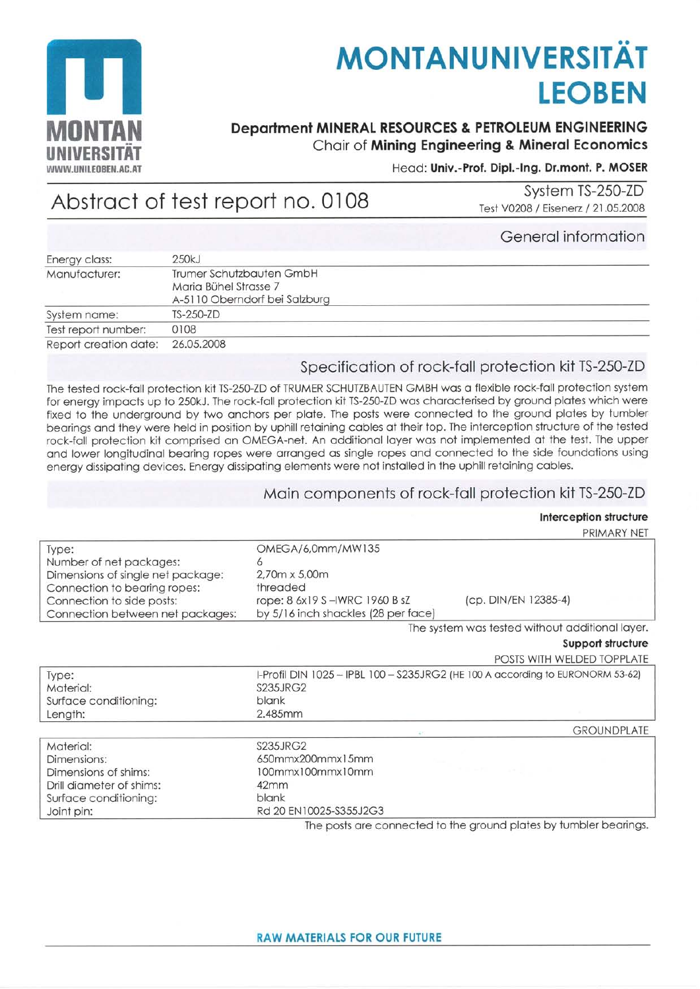

# **MONTANUNIVERSITÄT LEOBEN**

# **Department MINERAL RESOURCES & PETROLEUM ENGINEERING** Chair of Mining Engineering & Mineral Economics

#### Head: Univ.-Prof. Dipl.-Ing. Dr.mont. P. MOSER

# Abstract of test report no. 0108

System TS-250-ZD Test V0208 / Eisenerz / 21.05.2008

## General information

| Energy class:         | 250kJ                                                                              |  |
|-----------------------|------------------------------------------------------------------------------------|--|
| Manufacturer:         | Trumer Schutzbauten GmbH<br>Maria Bühel Strasse 7<br>A-5110 Oberndorf bei Salzburg |  |
| System name:          | <b>TS-250-ZD</b>                                                                   |  |
| Test report number:   | 0108                                                                               |  |
| Report creation date: | 26.05.2008                                                                         |  |

# Specification of rock-fall protection kit TS-250-ZD

The tested rock-fall protection kit TS-250-ZD of TRUMER SCHUTZBAUTEN GMBH was a flexible rock-fall protection system for energy impacts up to 250kJ. The rock-fall protection kit TS-250-ZD was characterised by ground plates which were fixed to the underground by two anchors per plate. The posts were connected to the ground plates by tumbler bearings and they were held in position by uphill retaining cables at their top. The interception structure of the tested rock-fall protection kit comprised an OMEGA-net. An additional layer was not implemented at the test. The upper and lower longitudinal bearing ropes were arranged as single ropes and connected to the side foundations using energy dissipating devices. Energy dissipating elements were not installed in the uphill retaining cables.

#### Main components of rock-fall protection kit TS-250-ZD

#### Interception structure

PRIMARY NET

| Type:                             | OMEGA/6,0mm/MW135                                                              |                                                                  |  |
|-----------------------------------|--------------------------------------------------------------------------------|------------------------------------------------------------------|--|
| Number of net packages:           | Ò                                                                              |                                                                  |  |
| Dimensions of single net package: | 2.70m x 5.00m                                                                  |                                                                  |  |
| Connection to bearing ropes:      | threaded                                                                       |                                                                  |  |
| Connection to side posts:         | rope: 8 6x19 S - IWRC 1960 B sZ                                                | (cp. DIN/EN 12385-4)                                             |  |
| Connection between net packages:  | by 5/16 inch shackles (28 per face)                                            |                                                                  |  |
|                                   |                                                                                | The system was tested without additional layer.                  |  |
|                                   |                                                                                | Support structure                                                |  |
|                                   |                                                                                | POSTS WITH WELDED TOPPLATE                                       |  |
| Type:                             | I-Profil DIN 1025 - IPBL 100 - S235JRG2 (HE 100 A according to EURONORM 53-62) |                                                                  |  |
| Material:                         | S235JRG2                                                                       |                                                                  |  |
| Surface conditioning:             | blank                                                                          |                                                                  |  |
| Length:                           | 2.485mm                                                                        |                                                                  |  |
|                                   | $\mathcal{L}^{(0)}$                                                            | <b>GROUNDPLATE</b>                                               |  |
| Material:                         | <b>S235JRG2</b>                                                                |                                                                  |  |
| Dimensions:                       | 650mmx200mmx15mm                                                               |                                                                  |  |
| Dimensions of shims:              | 100mmx100mmx10mm                                                               |                                                                  |  |
| Drill diameter of shims:          | 42mm                                                                           |                                                                  |  |
| Surface conditioning:             | blank                                                                          |                                                                  |  |
| Joint pin:                        | Rd 20 EN10025-S355J2G3                                                         |                                                                  |  |
|                                   |                                                                                | The posts are connected to the around plates by tumbler begripps |  |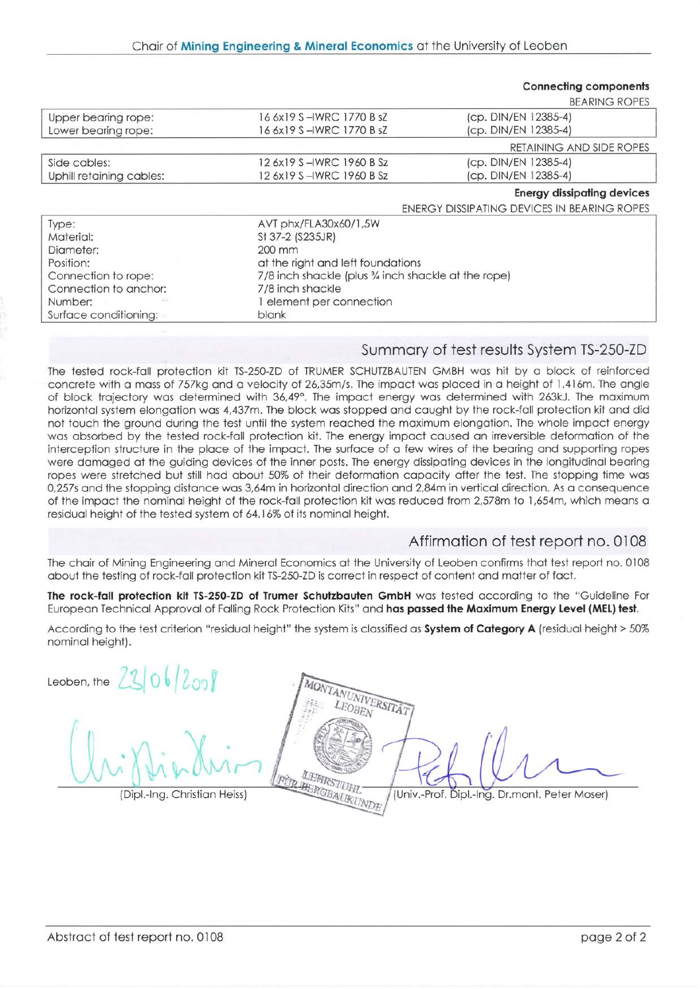|                          |                                                      | <b>Connecting components</b>                |  |
|--------------------------|------------------------------------------------------|---------------------------------------------|--|
|                          |                                                      | <b>BEARING ROPES</b>                        |  |
| Upper bearing rope:      | 16 6x19 S-IWRC 1770 B sZ                             | (cp. DIN/EN 12385-4)                        |  |
| Lower bearing rope:      | 16 6x19 S –IWRC 1770 B sZ                            | (cp. DIN/EN 12385-4)                        |  |
|                          |                                                      | RETAINING AND SIDE ROPES                    |  |
| Side cables:             | 12 6x19 S-IWRC 1960 B Sz                             | (cp. DIN/EN 12385-4)                        |  |
| Uphill retaining cables: | 12 6x19 S – IWRC 1960 B Sz                           | (cp. DIN/EN 12385-4)                        |  |
|                          |                                                      | <b>Energy dissipating devices</b>           |  |
|                          |                                                      | ENERGY DISSIPATING DEVICES IN BEARING ROPES |  |
| Type:                    | AVT phx/FLA30x60/1,5W                                |                                             |  |
| Material:                | St 37-2 (S235JR)                                     |                                             |  |
| Diameter:                | 200 mm                                               |                                             |  |
| Position:                | at the right and left foundations                    |                                             |  |
| Connection to rope:      | 7/8 inch shackle (plus 3/4 inch shackle at the rope) |                                             |  |
| Connection to anchor:    | 7/8 inch shackle                                     |                                             |  |
| Number:                  | element per connection                               |                                             |  |
| Surface conditioning:    | blank                                                |                                             |  |

## Summory of test results System TS-250-ZD

The tested rock-fall protection kit TS-250-ZD of TRUMER SCHUTZBAUTEN GMBH was hit by a block of reinforced concrete with a mass of 757kg and a velocity of 26,35m/s. The impact was placed in a height of 1,416m. The angle of block trajectory was determined with 36,49°. The impact energy was determined with 263kJ. The maximum horizontal system elongation was 4,437m. The block was stopped and caught by the rock-fall protection kit and did not touch the ground during the test until the system reached the maximum elongation. The whole impact energy wos obsorbed by the tested rock-foll profection kit. The energy impoct coused on ineversible deformotion of lhe interception structure in the place of the impact. The surface of a few wires of the bearing and supporting ropes were domoged ot the guiding devices of the inner posts. The energy dissipoting devices in the longitudinol beoring ropes were stretched but still had about 50% of their deformation capacity after the test. The stopping time was 0,257s and the stopping distance was 3,64m in horizontal direction and 2,84m in vertical direction. As a consequence of the impact the nominal height of the rock-fall protection kit was reduced from 2,578m to 1,654m, which means a residual height of the tested system of 64,16% of its nominal height.

# Affirmotion of test report no. 0108

The chair of Mining Engineering and Mineral Economics at the University of Leoben confirms that test report no. 0108 about the testing of rock-fall protection kit TS-250-ZD is correct in respect of content and matter of fact.

The rock-fall protection kit TS-250-ZD of Trumer Schutzbauten GmbH was tested according to the "Guideline For European Technical Approval of Falling Rock Protection Kits" and has passed the Maximum Energy Level (MEL) test.

According to the test criterion "residual height" the system is classified as System of Category A (residual height > 50% nominal height).

Leoben, the  $2306/200$ 

TANUNIVERSITÄT (Dipl.-Ing. Christian Heiss) *(Dipl. DEFIRSTITUTEL* (Univ.-Prof. Dipl.-Ing. Dr.mont. Peter Moser)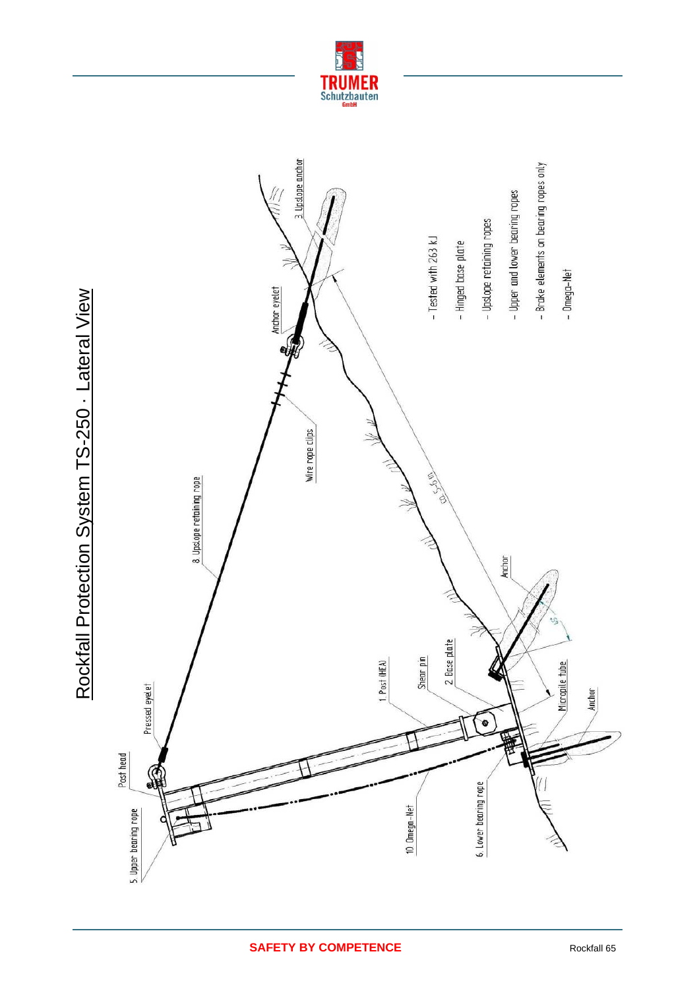